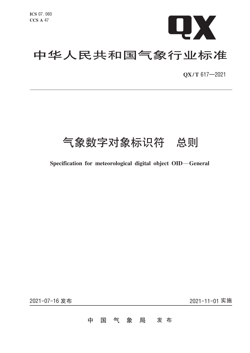

# 中华人民共和国气象行业标准

QX/T 617-2021

## 气象数字对象标识符 总则

## Specification for meteorological digital object OID-General

2021-07-16 发布

2021-11-01 实施

#### 气 象 局 发 布 中 国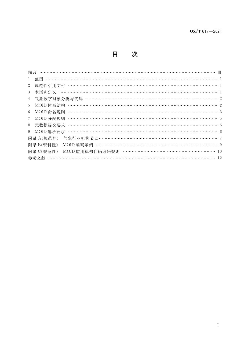目 次

| $\mathbf{1}$                                                  |  |
|---------------------------------------------------------------|--|
| 规范性引用文件 ……………………………………………………………………………………… 1<br>$\overline{2}$ |  |
| 3                                                             |  |
| 4 气象数字对象分类与代码 …………………………………………………………………………………… 2              |  |
| 5 <sup>1</sup>                                                |  |
| 6                                                             |  |
| MOID 分配规则<br>7                                                |  |
| 元数据提交要求<br>8                                                  |  |
| 9                                                             |  |
| 气象行业机构节点 ……………………………………………………………………… 7<br>附录 A(规范性)           |  |
| MOID 编码示例 …………………………………………………………………………… 9<br>附录 B(资料性)        |  |
| MOID 应用机构代码编码规则 …………………………………………………… 10<br>附录 C(规范性)          |  |
| 参考文献 ………………………………………………………………………………………… 12                    |  |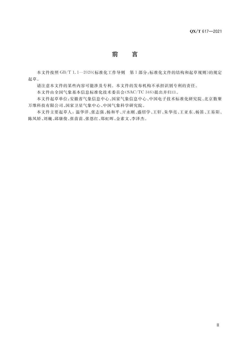## 前 言

本文件按照 GB/T 1.1-2020《标准化工作导则 第1部分:标准化文件的结构和起草规则》的规定 起草。

请注意本文件的某些内容可能涉及专利。本文件的发布机构不承担识别专利的责任。

本文件由全国气象基本信息标准化技术委员会(SAC/TC 346)提出并归口。

本文件起草单位:安徽省气象信息中心、国家气象信息中心、中国电子技术标准化研究院、北京数聚 万维科技有限公司、国家卫星气象中心、中国气象科学研究院。

本文件主要起草人: 温华洋、张志强、杨和平、亓永刚、盛绍学、王轩、朱华亮、王亚东、杨笛、王易阳、 陈凤娇、刘巍、邱康俊、张苗苗、张恩红、郑虹晖、金素文、李泽杰。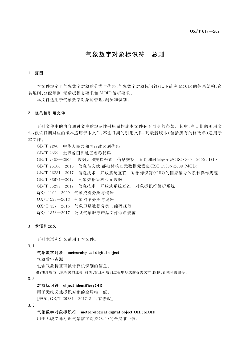## 气象数字对象标识符 总则

#### 1 范围

本文件规定了气象数字对象的分类与代码,气象数字对象标识符(以下简称 MOID)的体系结构、命 名规则、分配规则,元数据提交要求和 MOID 解析要求。

本文件适用于气象数字对象的管理、溯源和识别。

#### 2 规范性引用文件

下列文件中的内容通过文中的规范性引用而构成本文件必不可少的条款。其中,注日期的引用文 件,仅该日期对应的版本适用于本文件;不注日期的引用文件,其最新版本(包括所有的修改单)适用于 本文件。

GB/T 2260 中华人民共和国行政区划代码 GB/T 2659 世界各国和地区名称代码 GB/T 7408-2005 数据元和交换格式 信息交换 日期和时间表示法(ISO 8601:2000,IDT) GB/T 25100-2010 信息与文献 都柏林核心元数据元素集(ISO 15836:2009, MOD) GB/T 26231-2017 信息技术 开放系统互联 对象标识符(OID)的国家编号体系和操作规程 GB/T 33674-2017 气象数据集核心元数据 GB/T 35299-2017 信息技术 开放式系统互连 对象标识符解析系统 QX/T 102-2009 气象资料分类与编码 QX/T 223-2013 气象档案分类与编码 QX/T 327-2016 气象卫星数据分类与编码规范 QX/T 378-2017 公共气象服务产品文件命名规范

#### 3 术语和定义

下列术语和定义适用于本文件。

 $3.1$ 

#### 气象数字对象 meteorological digital object

气象数字资源

包含气象特征可被计算机识别的信息。

注:如开展与气象相关的业务、科研、管理和培训过程中形成的各类文本、图像、音频和视频等。

 $3.2$ 

#### 对象标识符 object identifier;OID

用于无歧义地标识对象的全局唯一值。

「来源:GB/T 26231-2017,3.4,有修改]

#### $3.3$

#### 气象数字对象标识符 meteorological digital object OID; MOID

用于无歧义地标识气象数字对象(3.1)的全局唯一值。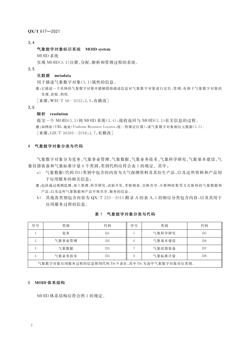QX/T 617-2021

 $3, 4$ 

#### 气象数字对象标识系统 MOID system

MOID 系统

实现 MOID(3.3)注册、分配、解析和管理过程的系统。

 $3.5$ 

#### 元数据 metadata

用于描述气象数字对象(3.1)属性的信息。

注:它描述一个具体的气象数字对象并能够借助描述信息对气象数字对象进行定位、管理,有助于气象数字对象的 发现、获取、利用。

「来源: WH/T 48-2012, 3.9, 有修改]

 $3.6$ 

#### 解析 resolution

提交一个 MOID(3.3)到 MOID 系统(3.4),接收返回与 MOID(3.3)有关信息的过程。 注:如网址(URL 地址(Uniform Resource Locator,统一资源定位器),或气象数字对象相应元数据(3.5)。 「来源:GB/T 36369-2018,3.7,有修改]

#### 4 气象数字对象分类与代码

气象数字对象分为党务、气象事业管理、气象数据、气象业务技术、气象科学研究、气象基本建设、气 象仪器装备和气象标准计量8个类别,类别代码应符合表1的规定。其中:

- a) 气象数据(代码 D3)类别中包含的内容为大气探测资料及其衍生产品,以及这些资料和产品用 于应用服务的相关信息;
- 注:包括通过观测监测、加工整理、科学研究、试验开发、考察调查、交换共享、互联网收集等方式取得的气象数据和 产品,以及这些气象数据和产品开展共享、服务的信息。
- b) 其他各类别包含内容为 QX/T 223-2013 附录 A 的表 A.1 的相应分类包含内容,以及其用于 应用服务过程的信息。

| 序号                                               | 类别     | 代码 | 序号 | 类别     | 代码             |  |
|--------------------------------------------------|--------|----|----|--------|----------------|--|
|                                                  | 党务     | D1 |    | 气象科学研究 | D5             |  |
|                                                  | 气象事业管理 | D2 |    | 气象基本建设 | D6             |  |
|                                                  | 气象数据   | D3 |    | 气象仪器装备 | D <sub>7</sub> |  |
|                                                  | 气象业务技术 | D4 |    | 气象标准计量 | D8             |  |
| 气象数字对象应用服务过程的信息使用代码 Dx-S 表征,其中 Dx 为表中气象数字对象对应类别。 |        |    |    |        |                |  |

#### 表 1 气象数字对象分类与代码

#### 5 MOID 体系结构

MOID 体系结构应符合图 1 的规定。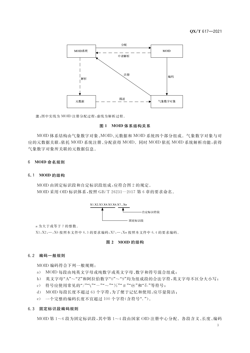

注:图中实线为 MOID 注册分配过程,虚线为解析过程。

#### 图 1 MOID 体系结构关系

MOID 体系结构由气象数字对象、MOID、元数据和 MOID 系统四个部分组成。气象数字对象与对 应的元数据关联,依托 MOID 系统注册、分配获得 MOID。同时 MOID 依托 MOID 系统解析功能,获得 气象数字对象所关联的元数据信息。

#### 6 MOID 命名规则

#### 6.1 MOID 的结构

MOID 由固定标识段和自定标识段组成,应符合图 2 的规定。 MOID 采用 OID 标识体系, 按照 GB/T 26231-2017 第 6 章的要求命名。



n 为大于或等于 7 的整数。

X1, X2, …, X6 按照本文件中 6.3 的要求编码, X7, …, Xn 按照本文件中 6.4 的要求编码。

#### 图 2 MOID 的结构

#### 6.2 编码一般规则

MOID 编码符合下列一般规则:

- a) MOID 每段由纯英文字母或纯数字或英文字母、数字和符号混合组成;
- b) 英文字母"A"~"Z"和阿拉伯数字"0"~"9"均为组成段的合法字符,英文字母不区分大小写;
- c) 符号应使用常见的"/""\""-""~""%""#""@"和"&"等符号;
- d) MOID 每段长度不超过 63 个字符, 为了便于记忆和使用, 应尽量简洁;
- e) 一个完整的编码长度不宜超过 100 个字符(含符号".")。

#### 6.3 固定标识段编码规则

MOID 第1~6 段为固定标识段,其中第1~4 段由国家 OID 注册中心分配。各段含义、长度、编码

 $\overline{3}$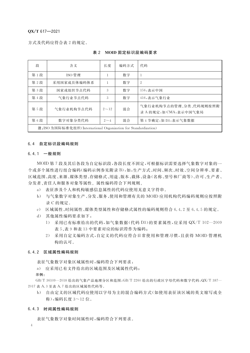#### $OX/T$  617-2021

方式及代码应符合表 2 的规定。

| 段                                                               | 含义                                               | 长度           | 编码方式 | 代码                                              |  |  |
|-----------------------------------------------------------------|--------------------------------------------------|--------------|------|-------------------------------------------------|--|--|
| 第1段                                                             | ISO 管理                                           | $\mathbf{1}$ | 数字   |                                                 |  |  |
| 第2段                                                             | 采用国家成员体编码体系                                      |              | 数字   | $\overline{2}$                                  |  |  |
| 第3段                                                             | 国家或组织节点代码                                        | 3            | 数字   | 156, 表示中国                                       |  |  |
| 第4段                                                             | 气象行业节点代码                                         | 3            | 数字   | 416,表示气象行业                                      |  |  |
| 第5段<br>混合<br>气象行业机构节点代码<br>$2 - 12$                             |                                                  |              |      | 气象行业机构节点的管理、分类、代码规则按照附<br>录 A 的规定,如 CMA,表示中国气象局 |  |  |
| 第6段                                                             | 混合<br>第 4 节确定,如 D3,表示气象数据<br>数字对象分类代码<br>$2 - 4$ |              |      |                                                 |  |  |
| 注: ISO 为国际标准化组织(International Organization for Standardization) |                                                  |              |      |                                                 |  |  |

#### 表 2 MOID 固定标识段编码要求

#### 6.4 自定标识段编码规则

#### 6.4.1 一般规则

MOID 第7 段及其后各段为自定标识段,各段长度不固定,可根据标识需要选择气象数字对象的一 个或多个属性进行组合编码(编码示例参见附录 B),如:生产方式、时间、频次、时效、空间分辨率、要素、 区域范围、高度、来源、媒体类型、存储格式、用途、版本、载体、设备(名称、型号和厂商等)、许可、生产者、 分发者、责任人和服务对象等属性。属性编码符合下列规则。

- a) 表征涉及个人和机构敏感信息属性的代码应使用无意义字符串。
- b) 与气象数字对象生产、分发、服务、使用和管理有关的 MOID 应用机构代码编码规则应按照附 录C的规定。
- c) 区域属性、时间属性、媒体类型属性和存储格式属性的编码规则符合 6.4.2 至 6.4.5 的规定。
- d) 其他属性编码要求如下:
	- 1) 采用已有标准给出的代码,如气象数据(代码 D3)的要素属性,应采用 QX/T 102-2009 表 5、表 9 和表 13 中要素对应的标识符作为编码;
	- 2) 采用自定义编码方式,自定义的代码应符合日常使用和管理习惯,且获得 MOID 管理机 构的认可。

#### 6.4.2 区域属性编码规则

表征气象数字对象区域属性时,编码符合下列要求:

a) 应采用已有文件给出的区域范围及区域属性代码;

#### 示例:

GB/T 36109-2018 给出的气象产品地理分区和范围, GB/T 2260 给出的行政区字母代码和数字代码, QX/T 387-2017 表 A.3 至表 A.7 给出的区域属性代码等。

b) 自由定义的区域代码应使用以字母为主的混合编码方式(如使用表征该区域的英文缩写或全 称),编码长度 3~12位。

#### 6.4.3 时间属性编码规则

表征气象数字对象时间属性时,编码符合下列要求。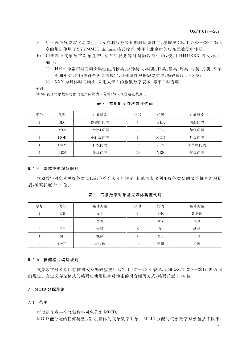- a) 用于表征气象数字对象生产、发布和服务等日期时间属性的,应按照 GB/T 7408-2005 第 5 章的规定使用 YYYYMMDDhhmmss 格式标识,使用非北京时的应在元数据中注明。
- b) 用于表征气象数字对象生产、发布和服务等时间频次属性的,使用 HHHXXX 格式,说明 如下:
	- 1) HHH 为常用时间频次属性包括秒类、分钟类、小时类、日类、候类、周类、旬类、月类、季节 类和年类,代码应符合表3的规定,其他属性根据需要扩展,编码长度3~5位;
	- 2) XXX 为具体时间频次,采用大于1的整数数字表示,等于1时省略。

示例:

MIN6 表征气象数字对象的生产频次为 6 分钟(如天气雷达基数据)。

| 序号 | 代码         | 时间频次  | 序号 | 代码         | 时间频次  |
|----|------------|-------|----|------------|-------|
|    | <b>SEC</b> | 秒钟级间隔 | 6  | WEK        | 周级间隔  |
| 2  | <b>MIN</b> | 分钟级间隔 |    | <b>TEN</b> | 旬级间隔  |
| 3  | HOR        | 小时级间隔 | 8  | <b>MON</b> | 月级间隔  |
| 4  | DAY        | 日级间隔  | 9  | <b>SES</b> | 季节级间隔 |
| 5  | <b>PEN</b> | 候级间隔  | 10 | YER        | 年级间隔  |

表 3 常用时间频次属性代码

#### 6.4.4 媒体类型编码规则

气象数字对象常见媒体类型代码应符合表 4 的规定,其他可参照利用媒体类型的汉语拼音缩写扩 展,编码长度 2~4位。

表 4 气象数字对象常见媒体类型代码

| 序号             | 代码        | 媒体类型 | 序号         | 代码        | 媒体类型 |
|----------------|-----------|------|------------|-----------|------|
|                | WB        | 文本   | 6          | SIK       | 数据库  |
| $\mathfrak{2}$ | <b>TX</b> | 图像   | $\sqrt{2}$ | <b>WY</b> | 网页   |
| 3              | ΥP        | 音频   | 8          | RJ        | 软件   |
| 4              | <b>SP</b> | 视频   | 9          | XH        | 信号   |
| 5              | DMT       | 多媒体  | 10         | 预留        | 扩展   |

#### 6.4.5 存储格式编码规则

气象数字对象常用存储格式及编码应按照 QX/T 327-2016 表 A. 9 和 QX/T 378-2017 表 A. 8 的规定。自定义存储格式的编码应使用以字母为主的混合编码方式,编码长度 2~6位。

#### 7 MOID 分配规则

#### 7.1 范围

可以给任意一个气象数字对象分配 MOID。 MOID 能分配给任何类型、格式、载体的气象数字对象。MOID 分配的气象数字对象包括不限于:

 $5<sup>5</sup>$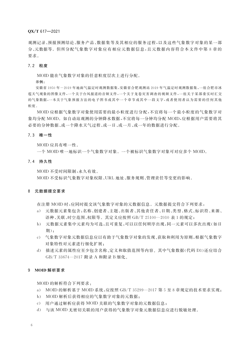#### $OX/T 617 - 2021$

观测记录、预报预测结论、服务产品、数据集等及其相应的服务过程,以及这些气象数字对象的某一部 分、元数据等。但所分配气象数字对象应有相应元数据信息,且元数据内容符合本文件中第8章的 要求。

#### 7.2 粒度

MOID 能在气象数字对象的任意粒度层次上进行分配。

#### 示例 ·

安徽省1950年-2019年地面气温定时观测数据集,安徽省合肥观测站 2019年气温定时观测数据集,一组合肥市冰 雹天气现象的图像文件,一个关于台风报道的音频文件,一个关于龙卷灾害调查的视频文件,一组关于某部委实时汇交 的气象数据,一本关于气象预报方法的电子图书或其中一个章节或其中一段文字,或者使用者认为需要的任何其他 粒度。

MOID 应根据气象数字对象使用需要的最小粒度进行分配,不宜将每一个最小粒度的气象数字对 象均分配 MOID。如自动站观测的分钟降水数据,不官将每一分钟均分配 MOID,应根据用户需要将其 必要的分钟数据、或一个降水天气过程、或一日、或一月、或一年的数据进行分配。

#### 7.3 唯一性

MOID 应具有唯一性。

一个 MOID 唯一地标识一个气象数字对象。一个被标识气象数字对象可对应多个 MOID。

#### 7.4 持久性

MOID 不受时间限制,永久有效。

MOID 不受标识气象数字对象权限、URL 地址、服务规则、管理责任等变更的影响。

#### 8 元数据提交要求

在注册 MOID 时,应同时提交该气象数字对象的元数据信息。元数据提交符合下列要求:

- a) 元数据元素集包含:名称、创建者、主题、出版者、其他责任者、日期、类型、格式、标识符、来源、 语种、关联、时空范围、权限等。其定义应按照 GB/T 25100-2010 表 1 的规定;
- b) 元数据元素集中元素均为可选,且可重复,可以以任何顺序出现,同一元素可以多次出现(如日 期):
- c) 气象数字对象元数据信息应以有助于气象数字对象的发现、获取和利用为原则,根据气象数字 对象特性对元素进行细化扩展;
- d) 描述元素的属性应至少包含名称、定义和取值范围等内容。其中气象数据(代码 D3)还应结合 GB/T 33674-2017 附录 A 和附录 B 细化。

#### 9 MOID 解析要求

MOID 的解析符合下列要求:

- a) MOID 的解析基于 MOID 系统,应按照 GB/T 35299-2017 第 5 至 8 章规定的技术要求实现;
- b) MOID 解析后获得相应的气象数字对象的元数据;
- c) 用户通过解析应获得 MOID 关联的气象数字对象的元数据信息;
- d) 与该 MOID 无密切关联的用户获得的气象数字对象元数据信息应进行脱敏处理。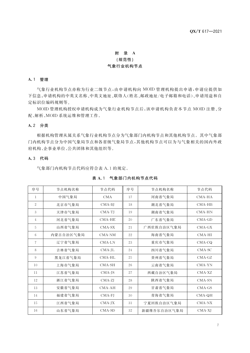## 附 录 A (规范性) 气象行业机构节点

#### A.1 管理

气象行业机构节点亦称为行业二级节点,由申请机构向 MOID 管理机构提出申请,申请应提供如 下信息:申请机构的中英文名称、中英文地址、联络人(姓名、邮政地址/电子邮箱和电话)、申请用途和自 定标识位编码规则等。

MOID 管理机构授权申请机构成为气象行业机构节点后,该申请机构负责本节点 MOID 注册、分 配、解析、MOID系统运维和管理工作。

#### A.2 分类

根据机构管理从属关系气象行业机构节点分为气象部门内机构节点和其他机构节点。其中气象部 门内机构节点分为中国气象局节点和各省级气象局节点,其他机构节点可以为与气象相关的国内外政 府机构、企事业单位、公共团体和其他组织等。

### A.3 代码

气象部门内机构节点代码应符合表 A.1 的规定。

| 序号             | 节点机构名称    | 节点代码         | 序号 | 节点机构名称      | 节点代码     |
|----------------|-----------|--------------|----|-------------|----------|
| 1              | 中国气象局     | <b>CMA</b>   | 17 | 河南省气象局      | CMA-HA   |
| $\mathbf{2}$   | 北京市气象局    | CMA-BJ       | 18 | 湖北省气象局      | $CMA-HB$ |
| 3              | 天津市气象局    | $CMA-TJ$     | 19 | 湖南省气象局      | $CMA-HN$ |
| $\overline{4}$ | 河北省气象局    | $CMA-HE$     | 20 | 广东省气象局      | $CMA-GD$ |
| 5              | 山西省气象局    | $CMA-SX$     | 21 | 广西壮族自治区气象局  | $CMA-GX$ |
| 6              | 内蒙古自治区气象局 | CMA-NM       | 22 | 海南省气象局      | $CMA-HI$ |
| $\overline{7}$ | 辽宁省气象局    | CMA-LN       | 23 | 重庆市气象局      | $CMA-CQ$ |
| 8              | 吉林省气象局    | $CMA$ -JL    | 24 | 四川省气象局      | CMA-SC   |
| 9              | 黑龙江省气象局   | CMA-HL       | 25 | 贵州省气象局      | $CMA-GZ$ |
| 10             | 上海市气象局    | $CMA-SH$     | 26 | 云南省气象局      | CMA-YN   |
| 11             | 江苏省气象局    | $CMA-JS$     | 27 | 西藏自治区气象局    | $CMA-XZ$ |
| 12             | 浙江省气象局    | CMA-ZJ       | 28 | 陕西省气象局      | CMA-SN   |
| 13             | 安徽省气象局    | $CMA-AH$     | 29 | 甘肃省气象局      | $CMA-GS$ |
| 14             | 福建省气象局    | $CMA-FJ$     | 30 | 青海省气象局      | CMA-QH   |
| 15             | 江西省气象局    | $CMA$ -J $X$ | 31 | 宁夏回族自治区气象局  | CMA-NX   |
| 16             | 山东省气象局    | $CMA-SD$     | 32 | 新疆维吾尔自治区气象局 | CMA-XI   |

#### 表 A.1 气象部门内机构节点代码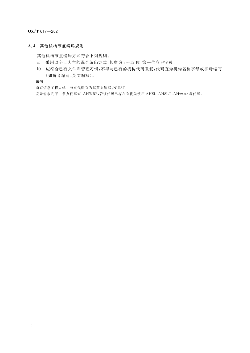QX/T 617-2021

#### A.4 其他机构节点编码规则

其他机构节点编码方式符合下列规则:

- a) 采用以字母为主的混合编码方式,长度为 3~12 位,第一位应为字母;
- b) 应符合已有文件和管理习惯,不得与已有的机构代码重复,代码宜为机构名称字母或字母缩写 (如拼音缩写、英文缩写)。

示例:

南京信息工程大学 节点代码宜为其英文缩写:NUIST。

安徽省水利厅 节点代码宜: AHWRP,若该代码已存在宜优先使用 AHSL、AHSLT、AHwater 等代码。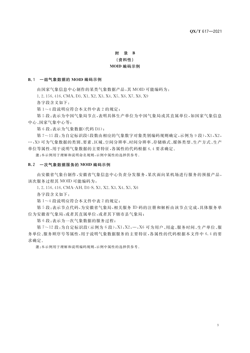### 附 录 B (资料性) MOID 编码示例

#### B.1 一组气象数据的 MOID 编码示例

由国家气象信息中心制作的某类气象数据产品,其 MOID 可能编码为:

1, 2, 156, 416, CMA, D3, X1, X2, X3, X4, X5, X6, X7, X8, X9

各字段含义如下:

第1~4段说明应符合本文件中表2的规定;

第5段:表示为中国气象局节点,表明具体生产单位为中国气象局或其直属单位,如国家气象信息 中心、国家气象中心等:

第6段:表示为气象数据(代码 D3);

第7~15段:为自定标识段(段数由相应的气象数字对象类别编码规则确定,示例为9段),X1,X2, …, X9 可为气象数据的类别、要素、区域、空间分辨率、时间分辨率、存储格式、媒体类型、生产方式、生产 单位等属性,用于说明气象数据的主要特征,各属性的代码根据6.4要求确定。

注:本示例用于理解和说明命名规则,示例中属性的选择供参考。

#### B.2 一次气象数据服务的 MOID 编码示例

由安徽省气象台制作,安徽省气象信息中心负责分发服务,某次面向某机场进行服务的预报产品, 该次服务过程其 MOID 可能编码为:

1.2.156.416. CMA-AH. D3-S. X1. X2. X3. X4. X5. X6

各字段含义如下:

第1~4段说明应符合本文件中表2的规定;

第5段:表示节点代码,为安徽省气象局,相关服务 ID 码的注册和解析由该节点完成,具体服务单 位为安徽省气象局,或者其直属单位,或者其下辖市县气象局;

第6段:表示为一次气象数据的服务过程;

第7~12段:为自定标识段(示例为6段),X1,X2,…,X6可为用户、用途、服务时间、生产单位、服 务单位、服务顺序号等属性,用于说明气象数据服务的主要特征,各属性的代码根据本文件中 6.4 的要 求确定。

注:本示例用于理解和说明编码规则,示例中属性的选择供参考。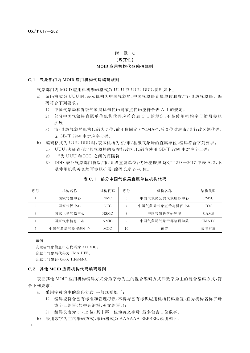#### 附 录 C

#### (规范性)

#### MOID 应用机构代码编码规则

#### C.1 气象部门内 MOID 应用机构代码编码规则

气象部门内 MOID 应用机构编码格式为 UUU 或 UUU-DDD,说明如下。

- a) 编码格式为 UUU 时,表示机构为中国气象局、中国气象局直属单位和省/市/县级气象局。编 码符合下列要求:
	- 1) 中国气象局和省级气象局机构代码同节点代码应符合表 A. 1 的规定;
	- 2) 部分中国气象局直属单位机构代码应符合表 C. 1 的规定,不足使用机构字母缩写参照 扩展:
	- 3) 市/县级气象局机构代码为7位,前4位固定为"CMA-",后3位对应市/县行政区划代码, 见 GB/T 2260 中对应字母码。
- b) 编码格式为 UUU-DDD 时,表示机构为省/市/县级气象局的直属单位,编码符合下列要求:
	- 1) UUU:表征省/市/县气象局的所在行政区,代码应使用 GB/T 2260 中对应字母码;
	- 2) "-"为 UUU 和 DDD 之间的间隔符;
	- 3) DDD: 表征气象部门省级/市/县级直属单位; 代码应按照 QX/T 378-2017 中表 A. 2, 不 足使用机构英文缩写参照扩展;编码长度 2~6位。

| 序号 | 机构名称        | 机构代码  | 序号 | 机构名称           | 结构代码         |
|----|-------------|-------|----|----------------|--------------|
|    | 国家气象中心      | NMC.  | 6  | 中国气象局公共气象服务中心  | <b>PMSC</b>  |
| 2  | 国家气候中心      | NCC   |    | 中国气象局气象宣传与科普中心 | COC          |
|    | 国家卫星气象中心    | NSMC- |    | 中国气象科学研究院      | CAMS         |
| 4  | 国家气象信息中心    | NMIC. | 9  | 中国气象局气象干部培训学院  | <b>CMATC</b> |
|    | 中国气象局气象探测中心 | MOC . | 10 | 预留             | 参考扩展         |

#### 表 C.1 部分中国气象局直属单位机构代码

示例:

安徽省气象信息中心代码为 AH-MIC。

合肥市气象局代码为 CMA-HFE。

合肥市气象台代码为 HFE-MO。

#### C.2 其他 MOID 应用机构代码编码规则

表征其他 MOID 应用机构编码方式分为字母为主的混合编码方式和数字为主的混合编码方式,符 合下列要求。

- a) 采用字母为主的编码方式,一般规则如下:
	- 1) 编码应符合已有标准和管理习惯,不得与已有标识应用机构代码重复,宜为机构名称字母 或字母缩写(如拼音缩写、英文缩写。);
	- 2) 编码长度为 3~12 位,其中第一位为英文字母,最多包含 1 位数字。
- b) 采用数字为主的编码方式,编码格式为 AAAAAA-BBBBBB,说明如下: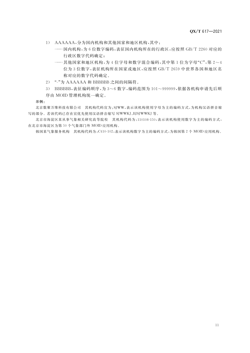- 1) AAAAAA, 分为国内机构和其他国家和地区机构, 其中:
	- ---- 国内机构, 为 6 位数字编码, 表征国内机构所在的行政区, 应按照 GB/T 2260 对应的 行政区数字代码确定;
	- ---其他国家和地区机构,为4位字母和数字混合编码,其中第1位为字母"C",第2~4 位为3位数字,表征机构所在国家或地区,应按照 GB/T 2659 中世界各国和地区名 称对应的数字代码确定。
- 2) "-"为 AAAAAA 和 BBBBBB 之间的间隔符。
- 3) BBBBBB, 表征编码顺序, 为 3~6 数字, 编码范围为 101~999999, 依据各机构申请先后顺

序由 MOID 管理机构统一确定。

示例:

北京数聚万维科技有限公司 其机构代码宜为: SJWW, 表示该机构使用字母为主的编码方式, 为机构汉语拼音缩 写的部分。若该代码已存在宜优先使用汉语拼音缩写 SJWWKJ、BJSJWWKJ 等。

北京市海淀区某从事气象相关研究高等院校 其机构代码为:110108-150,表示该机构使用数字为主的编码方式, 在北京市海淀区为第50个气象部门外 MOID 应用机构。

韩国某气象服务机构 其机构代码为:C410-102,表示该机构数字为主的编码方式,为韩国第2个 MOID 应用机构。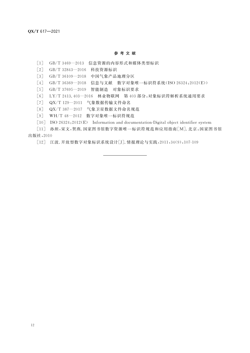#### 参考文献

[1] GB/T 3469-2013 信息资源的内容形式和媒体类型标识

[2] GB/T 32843-2016 科技资源标识

[3] GB/T 36109-2018 中国气象产品地理分区

[4] GB/T 36369-2018 信息与文献 数字对象唯一标识符系统(ISO 26324:2012(E))

[5] GB/T 37695-2019 智能制造 对象标识要求

[6] LY/T 2413.403-2016 林业物联网 第 403 部分:对象标识符解析系统通用要求

[7] QX/T 129-2011 气象数据传输文件命名

[8] QX/T 387-2017 气象卫星数据文件命名规范

[9] WH/T 48-2012 数字对象唯一标识符规范

[10] ISO 26324:2012(E) Information and documentation-Digital object identifier system

[11] 孙坦,宋文,贺燕.国家图书馆数字资源唯一标识符规范和应用指南[M]. 北京:国家图书馆 出版社,2010

[12] 江波. 开放型数字对象标识系统设计[J]. 情报理论与实践, 2011, 34(9): 107-109